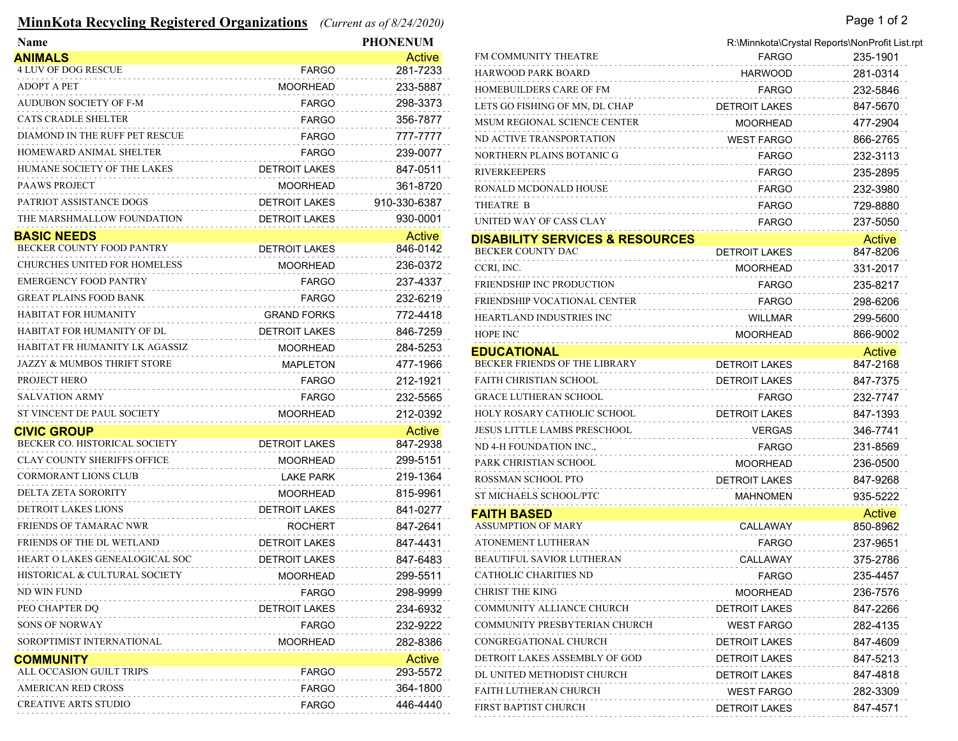## **MinnKota Recycling Registered Organizations** *(Current as of 8/24/2020)* Page 1 of 2

| Name                                   |                      | <b>PHONENUM</b> |                                            |                      | R:\Minnkota\Crystal Reports\NonProfit List.rpt |
|----------------------------------------|----------------------|-----------------|--------------------------------------------|----------------------|------------------------------------------------|
| <b>ANIMALS</b>                         |                      | Active          | FM COMMUNITY THEATRE                       | <b>FARGO</b>         | 235-1901                                       |
| 4 LUV OF DOG RESCUE                    | <b>FARGO</b>         | 281-7233        | <b>HARWOOD PARK BOARD</b>                  | <b>HARWOOD</b>       | 281-0314                                       |
| <b>ADOPT A PET</b>                     | <b>MOORHEAD</b>      | 233-5887        | HOMEBUILDERS CARE OF FM                    | <b>FARGO</b>         | 232-5846                                       |
| <b>AUDUBON SOCIETY OF F-M</b>          | <b>FARGO</b>         | 298-3373        | LETS GO FISHING OF MN, DL CHAP             | DETROIT LAKES        | 847-5670                                       |
| <b>CATS CRADLE SHELTER</b>             | <b>FARGO</b>         | 356-7877        | MSUM REGIONAL SCIENCE CENTER               | <b>MOORHEAD</b>      | 477-2904                                       |
| DIAMOND IN THE RUFF PET RESCUE         | <b>FARGO</b>         | 777-7777        | ND ACTIVE TRANSPORTATION                   | <b>WEST FARGO</b>    | 866-2765                                       |
| HOMEWARD ANIMAL SHELTER                | <b>FARGO</b>         | 239-0077        | NORTHERN PLAINS BOTANIC G                  | <b>FARGO</b>         | 232-3113                                       |
| HUMANE SOCIETY OF THE LAKES            | <b>DETROIT LAKES</b> | 847-0511        | <b>RIVERKEEPERS</b>                        | <b>FARGO</b>         | 235-2895                                       |
| <b>PAAWS PROJECT</b>                   | <b>MOORHEAD</b>      | 361-8720        | RONALD MCDONALD HOUSE                      | <b>FARGO</b>         | 232-3980                                       |
| PATRIOT ASSISTANCE DOGS                | <b>DETROIT LAKES</b> | 910-330-6387    | THEATRE B                                  | <b>FARGO</b>         | 729-8880                                       |
| THE MARSHMALLOW FOUNDATION             | <b>DETROIT LAKES</b> | 930-0001        | UNITED WAY OF CASS CLAY                    | <b>FARGO</b>         | 237-5050                                       |
| <b>BASIC NEEDS</b>                     |                      | Active          | <b>DISABILITY SERVICES &amp; RESOURCES</b> |                      | Active                                         |
| BECKER COUNTY FOOD PANTRY              | <b>DETROIT LAKES</b> | 846-0142        | BECKER COUNTY DAC                          | <b>DETROIT LAKES</b> | 847-8206                                       |
| <b>CHURCHES UNITED FOR HOMELESS</b>    | <b>MOORHEAD</b>      | 236-0372        | CCRI, INC.                                 | <b>MOORHEAD</b>      | 331-2017                                       |
| <b>EMERGENCY FOOD PANTRY</b>           | <b>FARGO</b>         | 237-4337        | FRIENDSHIP INC PRODUCTION                  | <b>FARGO</b>         | 235-8217                                       |
| <b>GREAT PLAINS FOOD BANK</b>          | <b>FARGO</b>         | 232-6219        | FRIENDSHIP VOCATIONAL CENTER               | <b>FARGO</b>         | 298-6206                                       |
| HABITAT FOR HUMANITY                   | <b>GRAND FORKS</b>   | 772-4418        | HEARTLAND INDUSTRIES INC                   | <b>WILLMAR</b>       | 299-5600                                       |
| HABITAT FOR HUMANITY OF DL             | <b>DETROIT LAKES</b> | 846-7259        | HOPE INC                                   | <b>MOORHEAD</b>      | 866-9002                                       |
| HABITAT FR HUMANITY LK AGASSIZ         | <b>MOORHEAD</b>      | 284-5253        | <b>EDUCATIONAL</b>                         |                      | Active                                         |
| <b>JAZZY &amp; MUMBOS THRIFT STORE</b> | <b>MAPLETON</b>      | 477-1966        | BECKER FRIENDS OF THE LIBRARY              | <b>DETROIT LAKES</b> | 847-2168                                       |
| PROJECT HERO                           | <b>FARGO</b>         | 212-1921        | FAITH CHRISTIAN SCHOOL                     | <b>DETROIT LAKES</b> | 847-7375                                       |
| <b>SALVATION ARMY</b>                  | <b>FARGO</b>         | 232-5565        | <b>GRACE LUTHERAN SCHOOL</b>               | <b>FARGO</b>         | 232-7747                                       |
| ST VINCENT DE PAUL SOCIETY             | <b>MOORHEAD</b>      | 212-0392        | HOLY ROSARY CATHOLIC SCHOOL                | <b>DETROIT LAKES</b> | 847-1393                                       |
| <b>CIVIC GROUP</b>                     |                      | Active          | <b>JESUS LITTLE LAMBS PRESCHOOL</b>        | <b>VERGAS</b>        | 346-7741                                       |
| BECKER CO. HISTORICAL SOCIETY          | <b>DETROIT LAKES</b> | 847-2938        | ND 4-H FOUNDATION INC.,                    | <b>FARGO</b>         | 231-8569                                       |
| <b>CLAY COUNTY SHERIFFS OFFICE</b>     | <b>MOORHEAD</b>      | 299-5151        | PARK CHRISTIAN SCHOOL                      | <b>MOORHEAD</b>      | 236-0500                                       |
| <b>CORMORANT LIONS CLUB</b>            | <b>LAKE PARK</b>     | 219-1364        | ROSSMAN SCHOOL PTO                         | <b>DETROIT LAKES</b> | 847-9268                                       |
| DELTA ZETA SORORITY                    | <b>MOORHEAD</b>      | 815-9961        | ST MICHAELS SCHOOL/PTC                     | MAHNOMEN             | 935-5222                                       |
| <b>DETROIT LAKES LIONS</b>             | <b>DETROIT LAKES</b> | 841-0277        | <b>FAITH BASED</b>                         |                      | Active                                         |
| FRIENDS OF TAMARAC NWR                 | <b>ROCHERT</b>       | 847-2641        | <b>ASSUMPTION OF MARY</b>                  | CALLAWAY             | 850-8962                                       |
| FRIENDS OF THE DL WETLAND              | <b>DETROIT LAKES</b> | 847-4431        | ATONEMENT LUTHERAN                         | <b>FARGO</b>         | 237-9651                                       |
| HEART O LAKES GENEALOGICAL SOC         | <b>DETROIT LAKES</b> | 847-6483        | <b>BEAUTIFUL SAVIOR LUTHERAN</b>           | CALLAWAY             | 375-2786                                       |
| HISTORICAL & CULTURAL SOCIETY          | <b>MOORHEAD</b>      | 299-5511        | CATHOLIC CHARITIES ND                      | <b>FARGO</b>         | 235-4457                                       |
| ND WIN FUND                            | <b>FARGO</b>         | 298-9999        | <b>CHRIST THE KING</b>                     | <b>MOORHEAD</b>      | 236-7576                                       |
| PEO CHAPTER DQ                         | <b>DETROIT LAKES</b> | 234-6932        | <b>COMMUNITY ALLIANCE CHURCH</b>           | <b>DETROIT LAKES</b> | 847-2266                                       |
| <b>SONS OF NORWAY</b>                  | <b>FARGO</b>         | 232-9222        | COMMUNITY PRESBYTERIAN CHURCH              | <b>WEST FARGO</b>    | 282-4135                                       |
| SOROPTIMIST INTERNATIONAL              | <b>MOORHEAD</b>      | 282-8386        | CONGREGATIONAL CHURCH                      | DETROIT LAKES        | 847-4609                                       |
| <b>COMMUNITY</b>                       |                      | Active          | DETROIT LAKES ASSEMBLY OF GOD              | <b>DETROIT LAKES</b> | 847-5213                                       |
| ALL OCCASION GUILT TRIPS               | <b>FARGO</b>         | 293-5572        | DL UNITED METHODIST CHURCH                 | DETROIT LAKES        | 847-4818                                       |
| AMERICAN RED CROSS                     | <b>FARGO</b>         | 364-1800        | <b>FAITH LUTHERAN CHURCH</b>               | <b>WEST FARGO</b>    | 282-3309                                       |
| <b>CREATIVE ARTS STUDIO</b>            | <b>FARGO</b>         | 446-4440        | FIRST BAPTIST CHURCH                       | DETROIT LAKES        | 847-4571                                       |

|                                            | R:\Minnkota\Crystal Reports\NonProfit List.r |               |
|--------------------------------------------|----------------------------------------------|---------------|
| FM COMMUNITY THEATRE                       | <b>FARGO</b>                                 | 235-1901      |
| <b>HARWOOD PARK BOARD</b>                  | <b>HARWOOD</b>                               | 281-0314      |
| HOMEBUILDERS CARE OF FM                    | FARGO                                        | 232-5846      |
| LETS GO FISHING OF MN, DL CHAP             | DETROIT LAKES                                | 847-5670      |
| <b>MSUM REGIONAL SCIENCE CENTER</b>        | MOORHEAD                                     | 477-2904      |
| ND ACTIVE TRANSPORTATION                   | <b>WEST FARGO</b>                            | 866-2765      |
| NORTHERN PLAINS BOTANIC G                  | <b>FARGO</b>                                 | 232-3113      |
| RIVERKEEPERS                               | <b>FARGO</b>                                 | 235-2895      |
| RONALD MCDONALD HOUSE                      | <b>FARGO</b>                                 | 232-3980      |
| THEATRE B                                  | <b>FARGO</b>                                 | 729-8880      |
| UNITED WAY OF CASS CLAY                    | FARGO                                        | 237-5050      |
| <b>DISABILITY SERVICES &amp; RESOURCES</b> |                                              | Active        |
| <b>BECKER COUNTY DAC</b>                   | DETROIT LAKES                                | 847-8206      |
| CCRI, INC.                                 | MOORHEAD                                     | 331-2017      |
| <b>FRIENDSHIP INC PRODUCTION</b>           | <b>FARGO</b>                                 | 235-8217      |
| FRIENDSHIP VOCATIONAL CENTER               | <b>FARGO</b>                                 | 298-6206      |
| HEARTLAND INDUSTRIES INC                   | <b>WILLMAR</b>                               | 299-5600      |
| <b>HOPE INC</b>                            | <b>MOORHEAD</b>                              | 866-9002      |
| EDUCATIONAL                                |                                              | <b>Active</b> |
| BECKER FRIENDS OF THE LIBRARY              | <b>DETROIT LAKES</b>                         | 847-2168      |
| <b>FAITH CHRISTIAN SCHOOL</b>              | DETROIT LAKES                                | 847-7375      |
| GRACE LUTHERAN SCHOOL                      | FARGO                                        | 232-7747      |
| HOLY ROSARY CATHOLIC SCHOOL                | <b>DETROIT LAKES</b>                         | 847-1393      |
| JESUS LITTLE LAMBS PRESCHOOL               | <b>VERGAS</b>                                | 346-7741      |
| ND 4-H FOUNDATION INC.,                    | <b>FARGO</b>                                 | 231-8569      |
| PARK CHRISTIAN SCHOOL                      | <b>MOORHEAD</b>                              | 236-0500      |
| ROSSMAN SCHOOL PTO                         | <b>DETROIT LAKES</b>                         | 847-9268      |
| ST MICHAELS SCHOOL/PTC                     | MAHNOMEN                                     | 935-5222      |
| FAITH BASED                                |                                              | Active        |
| <b>ASSUMPTION OF MARY</b>                  | CALLAWAY                                     | 850-8962      |
| ATONEMENT LUTHERAN                         | <b>FARGO</b>                                 | 237-9651      |
| BEAUTIFUL SAVIOR LUTHERAN                  | CALLAWAY                                     | 375-2786      |
| CATHOLIC CHARITIES ND                      | FARGO                                        | 235-4457      |
| <b>CHRIST THE KING</b>                     | MOORHEAD                                     | 236-7576      |
| COMMUNITY ALLIANCE CHURCH                  | <b>DETROIT LAKES</b>                         | 847-2266      |
| COMMUNITY PRESBYTERIAN CHURCH              | WEST FARGO                                   | 282-4135      |
| CONGREGATIONAL CHURCH                      | DETROIT LAKES                                | 847-4609      |
| DETROIT LAKES ASSEMBLY OF GOD              | <b>DETROIT LAKES</b>                         | 847-5213      |
| DL UNITED METHODIST CHURCH                 | DETROIT LAKES                                | 847-4818      |
| FAITH LUTHERAN CHURCH                      | WEST FARGO                                   | 282-3309      |
| FIRST BAPTIST CHURCH                       | <b>DETROIT LAKES</b>                         | 847-4571      |
|                                            |                                              |               |